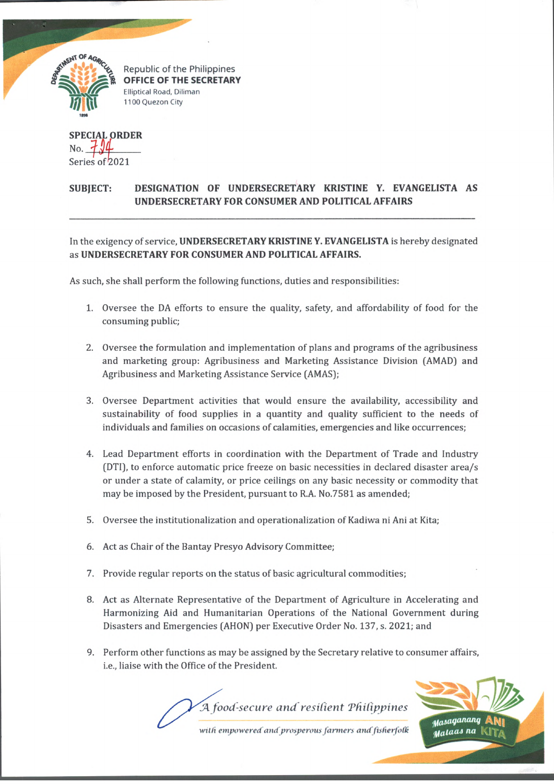

Republic of the Philippines *| '\*\*% £ &* **OFFICE OF THE SECRETARY Elliptical Road, Diliman** 1100 Quezon City

SPECIAL ORDER No. Series of 2021

## SUBJECT: DESIGNATION OF UNDERSECRETARY KRISTINE Y. EVANGELISTA AS UNDERSECRETARY FOR CONSUMER AND POLITICAL AFFAIRS

In the exigency of service, UNDERSECRETARY KRISTINE Y. EVANGELISTA is hereby designated as UNDERSECRETARY FOR CONSUMER AND POLITICAL AFFAIRS.

As such, she shall perform the following functions, duties and responsibilities:

- 1. Oversee the DA efforts to ensure the quality, safety, and affordability of food for the consuming public;
- 2. Oversee the formulation and implementation of plans and programs of the agribusiness and marketing group: Agribusiness and Marketing Assistance Division (AMAD) and Agribusiness and Marketing Assistance Service (AMAS);
- 3. Oversee Department activities that would ensure the availability, accessibility and sustainability of food supplies in a quantity and quality sufficient to the needs of individuals and families on occasions of calamities, emergencies and like occurrences;
- 4. Lead Department efforts in coordination with the Department of Trade and Industry (DTI), to enforce automatic price freeze on basic necessities in declared disaster area/s or under a state of calamity, or price ceilings on any basic necessity or commodity that may be imposed by the President, pursuant to R.A. No.7581 as amended;
- 5. Oversee the institutionalization and operationalization of Kadiwa ni Ani at Kita;
- 6. Act as Chair of the Bantay Presyo Advisory Committee;
- 7. Provide regular reports on the status of basic agricultural commodities;
- 8. Act as Alternate Representative of the Department of Agriculture in Accelerating and Harmonizing Aid and Humanitarian Operations of the National Government during Disasters and Emergencies (AHON) per Executive Order No. 137, s. 2021; and
- 9. Perform other functions as may be assigned by the Secretary relative to consumer affairs, i.e., liaise with the Office of the President.